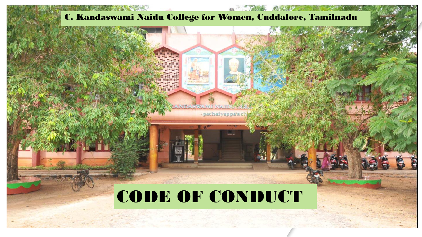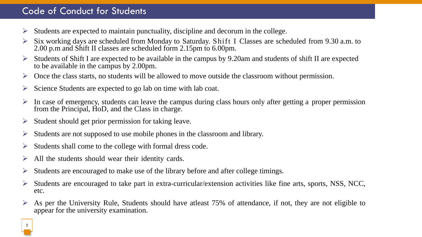## Code of Conduct for Students

- $\triangleright$  Students are expected to maintain punctuality, discipline and decorum in the college.
- ➢ Six working days are scheduled from Monday to Saturday. Shift I Classes are scheduled from 9.30 a.m. to 2.00 p.m and Shift II classes are scheduled form 2.15pm to 6.00pm.
- Students of Shift I are expected to be available in the campus by 9.20am and students of shift II are expected to be available in the campus by 2.00pm.
- $\triangleright$  Once the class starts, no students will be allowed to move outside the classroom without permission.
- ➢ Science Students are expected to go lab on time with lab coat.
- In case of emergency, students can leave the campus during class hours only after getting a proper permission from the Principal, HoD, and the Class in charge.
- ➢ Student should get prior permission for taking leave.
- ➢ Students are not supposed to use mobile phones in the classroom and library.
- ➢ Students shall come to the college with formal dress code.
- $\triangleright$  All the students should wear their identity cards.
- ➢ Students are encouraged to make use of the library before and after college timings.
- $\triangleright$  Students are encouraged to take part in extra-curricular/extension activities like fine arts, sports, NSS, NCC, etc.
- As per the University Rule, Students should have atleast 75% of attendance, if not, they are not eligible to appear for the university examination.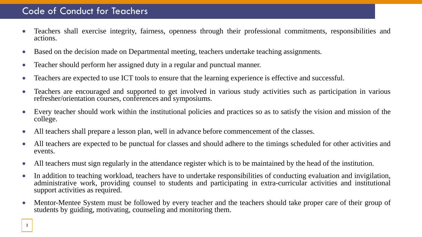## Code of Conduct for Teachers

- Teachers shall exercise integrity, fairness, openness through their professional commitments, responsibilities and actions.
- Based on the decision made on Departmental meeting, teachers undertake teaching assignments.
- Teacher should perform her assigned duty in a regular and punctual manner.
- Teachers are expected to use ICT tools to ensure that the learning experience is effective and successful.
- Teachers are encouraged and supported to get involved in various study activities such as participation in various refresher/orientation courses, conferences and symposiums.
- Every teacher should work within the institutional policies and practices so as to satisfy the vision and mission of the college.
- All teachers shall prepare a lesson plan, well in advance before commencement of the classes.
- All teachers are expected to be punctual for classes and should adhere to the timings scheduled for other activities and events.
- All teachers must sign regularly in the attendance register which is to be maintained by the head of the institution.
- In addition to teaching workload, teachers have to undertake responsibilities of conducting evaluation and invigilation, administrative work, providing counsel to students and participating in extra-curricular activities and institutional support activities as required.
- Mentor-Mentee System must be followed by every teacher and the teachers should take proper care of their group of students by guiding, motivating, counseling and monitoring them.